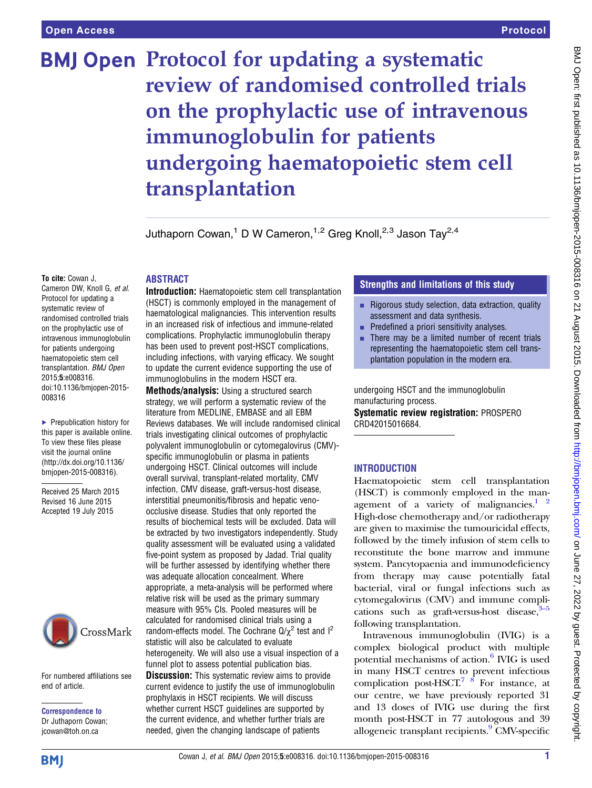# **BMJ Open Protocol for updating a systematic** review of randomised controlled trials on the prophylactic use of intravenous immunoglobulin for patients undergoing haematopoietic stem cell transplantation

Juthaporn Cowan,<sup>1</sup> D W Cameron,<sup>1,2</sup> Greg Knoll,<sup>2,3</sup> Jason Tay<sup>2,4</sup>

To cite: Cowan J,

Cameron DW, Knoll G, et al. Protocol for updating a systematic review of randomised controlled trials on the prophylactic use of intravenous immunoglobulin for patients undergoing haematopoietic stem cell transplantation. BMJ Open 2015;5:e008316. doi:10.1136/bmjopen-2015- 008316

▶ Prepublication history for this paper is available online. To view these files please visit the journal online [\(http://dx.doi.org/10.1136/](http://dx.doi.org/10.1136/bmjopen-2015-008316) [bmjopen-2015-008316](http://dx.doi.org/10.1136/bmjopen-2015-008316)).

Received 25 March 2015 Revised 16 June 2015 Accepted 19 July 2015



For numbered affiliations see end of article.

Correspondence to Dr Juthaporn Cowan; jcowan@toh.on.ca

# ABSTRACT

Introduction: Haematopoietic stem cell transplantation (HSCT) is commonly employed in the management of haematological malignancies. This intervention results in an increased risk of infectious and immune-related complications. Prophylactic immunoglobulin therapy has been used to prevent post-HSCT complications, including infections, with varying efficacy. We sought to update the current evidence supporting the use of immunoglobulins in the modern HSCT era.

Methods/analysis: Using a structured search strategy, we will perform a systematic review of the literature from MEDLINE, EMBASE and all EBM Reviews databases. We will include randomised clinical trials investigating clinical outcomes of prophylactic polyvalent immunoglobulin or cytomegalovirus (CMV) specific immunoglobulin or plasma in patients undergoing HSCT. Clinical outcomes will include overall survival, transplant-related mortality, CMV infection, CMV disease, graft-versus-host disease, interstitial pneumonitis/fibrosis and hepatic venoocclusive disease. Studies that only reported the results of biochemical tests will be excluded. Data will be extracted by two investigators independently. Study quality assessment will be evaluated using a validated five-point system as proposed by Jadad. Trial quality will be further assessed by identifying whether there was adequate allocation concealment. Where appropriate, a meta-analysis will be performed where relative risk will be used as the primary summary measure with 95% CIs. Pooled measures will be calculated for randomised clinical trials using a random-effects model. The Cochrane  $Q/\chi^2$  test and  $I^2$ statistic will also be calculated to evaluate heterogeneity. We will also use a visual inspection of a funnel plot to assess potential publication bias. **Discussion:** This systematic review aims to provide current evidence to justify the use of immunoglobulin prophylaxis in HSCT recipients. We will discuss whether current HSCT guidelines are supported by the current evidence, and whether further trials are needed, given the changing landscape of patients

## Strengths and limitations of this study

- $\blacksquare$  Rigorous study selection, data extraction, quality assessment and data synthesis.
- **Predefined a priori sensitivity analyses.**
- $\blacksquare$  There may be a limited number of recent trials representing the haematopoietic stem cell transplantation population in the modern era.

undergoing HSCT and the immunoglobulin manufacturing process.

Systematic review registration: PROSPERO CRD42015016684.

## **INTRODUCTION**

Haematopoietic stem cell transplantation (HSCT) is commonly employed in the management of a variety of malignancies. $1^2$ High-dose chemotherapy and/or radiotherapy are given to maximise the tumouricidal effects, followed by the timely infusion of stem cells to reconstitute the bone marrow and immune system. Pancytopaenia and immunodeficiency from therapy may cause potentially fatal bacterial, viral or fungal infections such as cytomegalovirus (CMV) and immune complications such as graft-versus-host disease, $3-5$ following transplantation.

Intravenous immunoglobulin (IVIG) is a complex biological product with multiple potential mechanisms of action.<sup>6</sup> IVIG is used in many HSCT centres to prevent infectious complication post-HSCT.<sup>7</sup>  $\frac{8}{5}$  For instance, at our centre, we have previously reported 31 and 13 doses of IVIG use during the first month post-HSCT in 77 autologous and 39 allogeneic transplant recipients.<sup>[9](#page-3-0)</sup> CMV-specific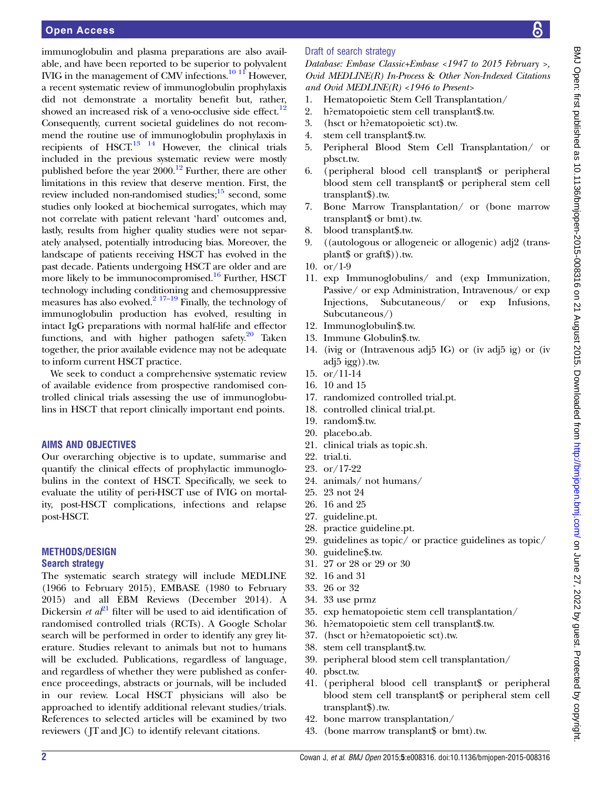immunoglobulin and plasma preparations are also available, and have been reported to be superior to polyvalent IVIG in the management of CMV infections.[10 11](#page-3-0) However, a recent systematic review of immunoglobulin prophylaxis did not demonstrate a mortality benefit but, rather, showed an increased risk of a veno-occlusive side effect.<sup>[12](#page-3-0)</sup> Consequently, current societal guidelines do not recommend the routine use of immunoglobulin prophylaxis in recipients of  $HSCT$ <sup>13</sup> <sup>14</sup> However, the clinical trials included in the previous systematic review were mostly published before the year  $2000$ .<sup>12</sup> Further, there are other limitations in this review that deserve mention. First, the review included non-randomised studies; $15$  second, some studies only looked at biochemical surrogates, which may not correlate with patient relevant 'hard' outcomes and, lastly, results from higher quality studies were not separately analysed, potentially introducing bias. Moreover, the landscape of patients receiving HSCT has evolved in the past decade. Patients undergoing HSCT are older and are more likely to be immunocompromised.<sup>16</sup> Further, HSCT technology including conditioning and chemosuppressive measures has also evolved.<sup>2</sup>  $17-19$  Finally, the technology of immunoglobulin production has evolved, resulting in intact IgG preparations with normal half-life and effector functions, and with higher pathogen safety. $20$  Taken together, the prior available evidence may not be adequate to inform current HSCT practice.

We seek to conduct a comprehensive systematic review of available evidence from prospective randomised controlled clinical trials assessing the use of immunoglobulins in HSCT that report clinically important end points.

#### AIMS AND OBJECTIVES

Our overarching objective is to update, summarise and quantify the clinical effects of prophylactic immunoglobulins in the context of HSCT. Specifically, we seek to evaluate the utility of peri-HSCT use of IVIG on mortality, post-HSCT complications, infections and relapse post-HSCT.

#### METHODS/DESIGN Search strategy

The systematic search strategy will include MEDLINE (1966 to February 2015), EMBASE (1980 to February 2015) and all EBM Reviews (December 2014). A Dickersin *et al*<sup>[21](#page-4-0)</sup> filter will be used to aid identification of randomised controlled trials (RCTs). A Google Scholar search will be performed in order to identify any grey literature. Studies relevant to animals but not to humans will be excluded. Publications, regardless of language, and regardless of whether they were published as conference proceedings, abstracts or journals, will be included in our review. Local HSCT physicians will also be approached to identify additional relevant studies/trials. References to selected articles will be examined by two reviewers ( JT and JC) to identify relevant citations.

#### Draft of search strategy

Database: Embase Classic+Embase <1947 to 2015 February >, Ovid MEDLINE(R) In-Process & Other Non-Indexed Citations and Ovid MEDLINE(R) <1946 to Present>

- 1. Hematopoietic Stem Cell Transplantation/<br>2. h?ematopoietic stem cell transplant\$.tw.
	- 2. h?ematopoietic stem cell transplant\$.tw.
- 3. (hsct or h?ematopoietic sct).tw.
- 4. stem cell transplant\$.tw.
- 5. Peripheral Blood Stem Cell Transplantation/ or pbsct.tw.
- 6. (peripheral blood cell transplant\$ or peripheral blood stem cell transplant\$ or peripheral stem cell transplant\$).tw.
- 7. Bone Marrow Transplantation/ or (bone marrow transplant\$ or bmt).tw.
- 8. blood transplant\$.tw.
- 9. ((autologous or allogeneic or allogenic) adj2 (transplant\$ or graft\$)).tw.
- 10. or/1-9
- 11. exp Immunoglobulins/ and (exp Immunization, Passive/ or exp Administration, Intravenous/ or exp Injections, Subcutaneous/ or exp Infusions, Subcutaneous/)
- 12. Immunoglobulin\$.tw.
- 13. Immune Globulin\$.tw.
- 14. (ivig or (Intravenous adj5 IG) or (iv adj5 ig) or (iv adj5 igg)).tw.
- 15. or/11-14
- 16. 10 and 15
- 17. randomized controlled trial.pt.
- 18. controlled clinical trial.pt.
- 19. random\$.tw.
- 20. placebo.ab.
- 21. clinical trials as topic.sh.
- 22. trial.ti.
- 23. or/17-22
- 24. animals/ not humans/
- 25. 23 not 24
- 26. 16 and 25
- 27. guideline.pt.
- 28. practice guideline.pt.
- 29. guidelines as topic/ or practice guidelines as topic/
- 30. guideline\$.tw.
- 31. 27 or 28 or 29 or 30
- 32. 16 and 31
- 33. 26 or 32
- 34. 33 use prmz
- 35. exp hematopoietic stem cell transplantation/
- 36. h?ematopoietic stem cell transplant\$.tw.
- 37. (hsct or h?ematopoietic sct).tw.
- 38. stem cell transplant\$.tw.
- 39. peripheral blood stem cell transplantation/
- 40. pbsct.tw.
- 41. (peripheral blood cell transplant\$ or peripheral blood stem cell transplant\$ or peripheral stem cell transplant\$).tw.
- 42. bone marrow transplantation/
- 43. (bone marrow transplant\$ or bmt).tw.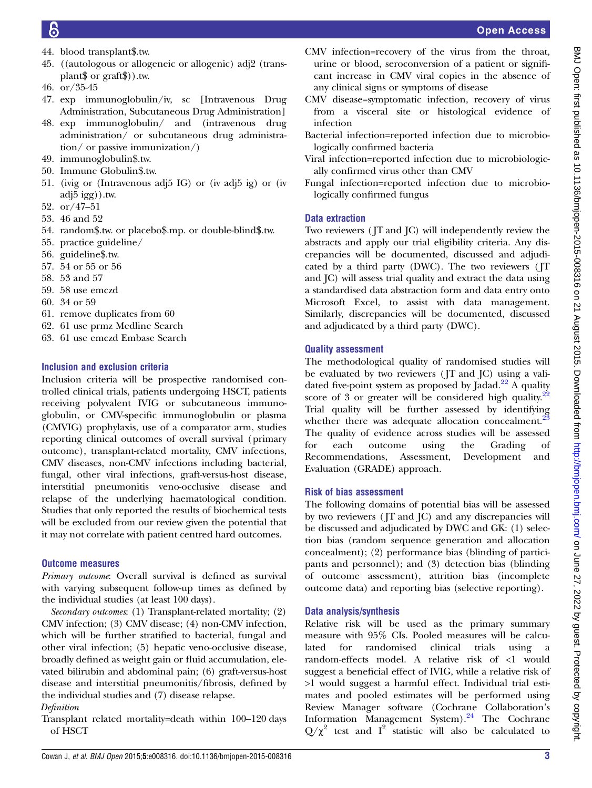- 
- 44. blood transplant\$.tw.
- 45. ((autologous or allogeneic or allogenic) adj2 (transplant\$ or graft\$)).tw.
- 46. or/35-45
- 47. exp immunoglobulin/iv, sc [Intravenous Drug Administration, Subcutaneous Drug Administration]
- 48. exp immunoglobulin/ and (intravenous drug administration/ or subcutaneous drug administration/ or passive immunization/)
- 49. immunoglobulin\$.tw.
- 50. Immune Globulin\$.tw.
- 51. (ivig or (Intravenous adj5 IG) or (iv adj5 ig) or (iv adj5 igg)).tw.
- 52. or/47–51
- 53. 46 and 52
- 54. random\$.tw. or placebo\$.mp. or double-blind\$.tw.
- 55. practice guideline/
- 56. guideline\$.tw.
- 57. 54 or 55 or 56
- 58. 53 and 57
- 59. 58 use emczd
- 60. 34 or 59
- 61. remove duplicates from 60
- 62. 61 use prmz Medline Search
- 63. 61 use emczd Embase Search

#### Inclusion and exclusion criteria

Inclusion criteria will be prospective randomised controlled clinical trials, patients undergoing HSCT, patients receiving polyvalent IVIG or subcutaneous immunoglobulin, or CMV-specific immunoglobulin or plasma (CMVIG) prophylaxis, use of a comparator arm, studies reporting clinical outcomes of overall survival (primary outcome), transplant-related mortality, CMV infections, CMV diseases, non-CMV infections including bacterial, fungal, other viral infections, graft-versus-host disease, interstitial pneumonitis veno-occlusive disease and relapse of the underlying haematological condition. Studies that only reported the results of biochemical tests will be excluded from our review given the potential that it may not correlate with patient centred hard outcomes.

#### Outcome measures

Primary outcome: Overall survival is defined as survival with varying subsequent follow-up times as defined by the individual studies (at least 100 days).

Secondary outcomes: (1) Transplant-related mortality; (2) CMV infection; (3) CMV disease; (4) non-CMV infection, which will be further stratified to bacterial, fungal and other viral infection; (5) hepatic veno-occlusive disease, broadly defined as weight gain or fluid accumulation, elevated bilirubin and abdominal pain; (6) graft-versus-host disease and interstitial pneumonitis/fibrosis, defined by the individual studies and (7) disease relapse.

#### Definition

Transplant related mortality=death within 100–120 days of HSCT

- CMV infection=recovery of the virus from the throat, urine or blood, seroconversion of a patient or significant increase in CMV viral copies in the absence of any clinical signs or symptoms of disease
- CMV disease=symptomatic infection, recovery of virus from a visceral site or histological evidence of infection
- Bacterial infection=reported infection due to microbiologically confirmed bacteria
- Viral infection=reported infection due to microbiologically confirmed virus other than CMV
- Fungal infection=reported infection due to microbiologically confirmed fungus

## Data extraction

Two reviewers ( JT and JC) will independently review the abstracts and apply our trial eligibility criteria. Any discrepancies will be documented, discussed and adjudicated by a third party (DWC). The two reviewers ( $\overline{1T}$ and JC) will assess trial quality and extract the data using a standardised data abstraction form and data entry onto Microsoft Excel, to assist with data management. Similarly, discrepancies will be documented, discussed and adjudicated by a third party (DWC).

## Quality assessment

The methodological quality of randomised studies will be evaluated by two reviewers (JT and JC) using a vali-dated five-point system as proposed by Jadad.<sup>[22](#page-4-0)</sup> A quality score of 3 or greater will be considered high quality. $2^2$ Trial quality will be further assessed by identifying whether there was adequate allocation concealment.<sup>2</sup> The quality of evidence across studies will be assessed for each outcome using the Grading of Recommendations, Assessment, Development and Evaluation (GRADE) approach.

## Risk of bias assessment

The following domains of potential bias will be assessed by two reviewers ( JT and JC) and any discrepancies will be discussed and adjudicated by DWC and GK: (1) selection bias (random sequence generation and allocation concealment); (2) performance bias (blinding of participants and personnel); and (3) detection bias (blinding of outcome assessment), attrition bias (incomplete outcome data) and reporting bias (selective reporting).

## Data analysis/synthesis

Relative risk will be used as the primary summary measure with 95% CIs. Pooled measures will be calculated for randomised clinical trials using random-effects model. A relative risk of <1 would suggest a beneficial effect of IVIG, while a relative risk of >1 would suggest a harmful effect. Individual trial estimates and pooled estimates will be performed using Review Manager software (Cochrane Collaboration's Information Management System).<sup>[24](#page-4-0)</sup> The Cochrane  $Q/\chi^2$  test and I<sup>2</sup> statistic will also be calculated to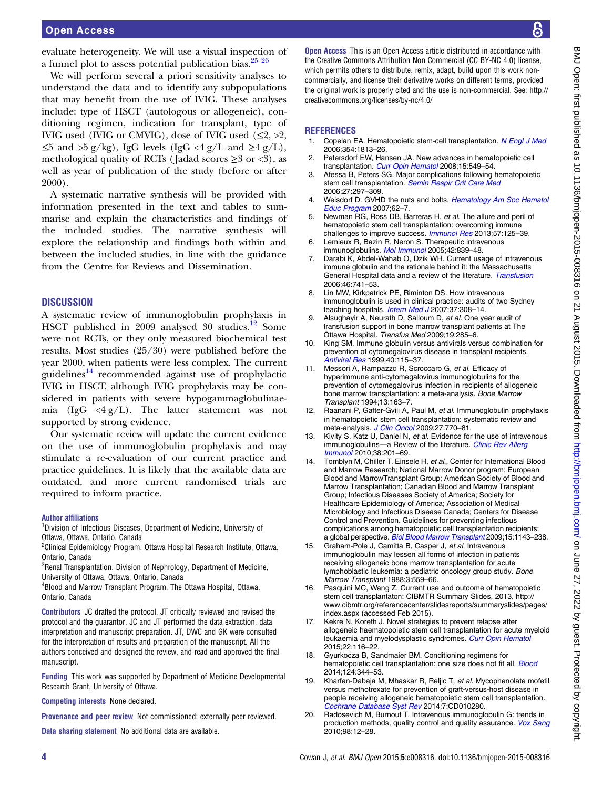<span id="page-3-0"></span>evaluate heterogeneity. We will use a visual inspection of a funnel plot to assess potential publication bias.<sup>25</sup> <sup>26</sup>

We will perform several a priori sensitivity analyses to understand the data and to identify any subpopulations that may benefit from the use of IVIG. These analyses include: type of HSCT (autologous or allogeneic), conditioning regimen, indication for transplant, type of IVIG used (IVIG or CMVIG), dose of IVIG used (≤2, >2,  $\leq$  5 and  $\geq$  5 g/kg), IgG levels (IgG  $\leq$  4 g/L and  $\geq$  4 g/L), methological quality of RCTs (Jadad scores  $\geq 3$  or <3), as well as year of publication of the study (before or after 2000).

A systematic narrative synthesis will be provided with information presented in the text and tables to summarise and explain the characteristics and findings of the included studies. The narrative synthesis will explore the relationship and findings both within and between the included studies, in line with the guidance from the Centre for Reviews and Dissemination.

#### **DISCUSSION**

A systematic review of immunoglobulin prophylaxis in HSCT published in 2009 analysed 30 studies.<sup>12</sup> Some were not RCTs, or they only measured biochemical test results. Most studies (25/30) were published before the year 2000, when patients were less complex. The current guidelines $^{14}$  recommended against use of prophylactic IVIG in HSCT, although IVIG prophylaxis may be considered in patients with severe hypogammaglobulinaemia (IgG  $\langle 4g/L \rangle$ . The latter statement was not supported by strong evidence.

Our systematic review will update the current evidence on the use of immunoglobulin prophylaxis and may stimulate a re-evaluation of our current practice and practice guidelines. It is likely that the available data are outdated, and more current randomised trials are required to inform practice.

#### Author affiliations

<sup>1</sup>Division of Infectious Diseases, Department of Medicine, University of Ottawa, Ottawa, Ontario, Canada

<sup>2</sup>Clinical Epidemiology Program, Ottawa Hospital Research Institute, Ottawa, Ontario, Canada

<sup>3</sup> Renal Transplantation, Division of Nephrology, Department of Medicine, University of Ottawa, Ottawa, Ontario, Canada

4 Blood and Marrow Transplant Program, The Ottawa Hospital, Ottawa, Ontario, Canada

Contributors JC drafted the protocol. JT critically reviewed and revised the protocol and the guarantor. JC and JT performed the data extraction, data interpretation and manuscript preparation. JT, DWC and GK were consulted for the interpretation of results and preparation of the manuscript. All the authors conceived and designed the review, and read and approved the final manuscript.

Funding This work was supported by Department of Medicine Developmental Research Grant, University of Ottawa.

Competing interests None declared.

Provenance and peer review Not commissioned; externally peer reviewed.

Data sharing statement No additional data are available.

Open Access This is an Open Access article distributed in accordance with the Creative Commons Attribution Non Commercial (CC BY-NC 4.0) license, which permits others to distribute, remix, adapt, build upon this work noncommercially, and license their derivative works on different terms, provided the original work is properly cited and the use is non-commercial. See: [http://](http://creativecommons.org/licenses/by-nc/4.0/) [creativecommons.org/licenses/by-nc/4.0/](http://creativecommons.org/licenses/by-nc/4.0/)

#### **REFERENCES**

- Copelan EA. Hematopoietic stem-cell transplantation. [N Engl J Med](http://dx.doi.org/10.1056/NEJMra052638) 2006;354:1813–26.
- 2. Petersdorf EW, Hansen JA. New advances in hematopoietic cell transplantation. [Curr Opin Hematol](http://dx.doi.org/10.1097/MOH.0b013e328311891f) 2008;15:549–54.
- 3. Afessa B, Peters SG. Major complications following hematopoietic stem cell transplantation. [Semin Respir Crit Care Med](http://dx.doi.org/10.1055/s-2006-945530) 2006;27:297–309.
- 4. Weisdorf D. GVHD the nuts and bolts. [Hematology Am Soc Hematol](http://dx.doi.org/10.1182/asheducation-2007.1.62) [Educ Program](http://dx.doi.org/10.1182/asheducation-2007.1.62) 2007;62–7.
- 5. Newman RG, Ross DB, Barreras H, et al. The allure and peril of hematopoietic stem cell transplantation: overcoming immune challenges to improve success. [Immunol Res](http://dx.doi.org/10.1007/s12026-013-8450-7) 2013;57:125-39.
- 6. Lemieux R, Bazin R, Neron S. Therapeutic intravenous immunoglobulins. [Mol Immunol](http://dx.doi.org/10.1016/j.molimm.2004.07.046) 2005:42:839-48.
- 7. Darabi K, Abdel-Wahab O, Dzik WH. Current usage of intravenous immune globulin and the rationale behind it: the Massachusetts General Hospital data and a review of the literature. [Transfusion](http://dx.doi.org/10.1111/j.1537-2995.2006.00792.x) 2006;46:741–53.
- 8. Lin MW, Kirkpatrick PE, Riminton DS. How intravenous immunoglobulin is used in clinical practice: audits of two Sydney teaching hospitals. *[Intern Med J](http://dx.doi.org/10.1111/j.1445-5994.2007.01336.x)* 2007;37:308-14.
- 9. Alsughayir A, Neurath D, Salloum D, et al. One year audit of transfusion support in bone marrow transplant patients at The Ottawa Hospital. Transfus Med 2009;19:285–6.
- 10. King SM. Immune globulin versus antivirals versus combination for prevention of cytomegalovirus disease in transplant recipients. [Antiviral Res](http://dx.doi.org/10.1016/S0166-3542(98)00050-3) 1999;40:115–37.
- 11. Messori A, Rampazzo R, Scroccaro G, et al. Efficacy of hyperimmune anti-cytomegalovirus immunoglobulins for the prevention of cytomegalovirus infection in recipients of allogeneic bone marrow transplantation: a meta-analysis. Bone Marrow Transplant 1994;13:163–7.
- 12. Raanani P, Gafter-Gvili A, Paul M, et al. Immunoglobulin prophylaxis in hematopoietic stem cell transplantation: systematic review and meta-analysis. [J Clin Oncol](http://dx.doi.org/10.1200/JCO.2008.16.8450) 2009;27:770-81.
- 13. Kivity S, Katz U, Daniel N, et al. Evidence for the use of intravenous immunoglobulins—a Review of the literature. [Clinic Rev Allerg](http://dx.doi.org/10.1007/s12016-009-8155-9) [Immunol](http://dx.doi.org/10.1007/s12016-009-8155-9) 2010;38:201–69.
- 14. Tomblyn M, Chiller T, Einsele H, et al., Center for International Blood and Marrow Research; National Marrow Donor program; European Blood and MarrowTransplant Group; American Society of Blood and Marrow Transplantation; Canadian Blood and Marrow Transplant Group; Infectious Diseases Society of America; Society for Healthcare Epidemiology of America; Association of Medical Microbiology and Infectious Disease Canada; Centers for Disease Control and Prevention. Guidelines for preventing infectious complications among hematopoietic cell transplantation recipients: a global perspective. [Biol Blood Marrow Transplant](http://dx.doi.org/10.1016/j.bbmt.2009.06.019) 2009;15:1143-238.
- 15. Graham-Pole J, Camitta B, Casper J, et al. Intravenous immunoglobulin may lessen all forms of infection in patients receiving allogeneic bone marrow transplantation for acute lymphoblastic leukemia: a pediatric oncology group study. Bone Marrow Transplant 1988;3:559–66.
- 16. Pasquini MC, Wang Z. Current use and outcome of hematopoietic stem cell transplantaton: CIBMTR Summary Slides, 2013. [http://](http://www.cibmtr.org/referencecenter/slidesreports/summaryslides/pages/index.aspx) [www.cibmtr.org/referencecenter/slidesreports/summaryslides/pages/](http://www.cibmtr.org/referencecenter/slidesreports/summaryslides/pages/index.aspx) [index.aspx](http://www.cibmtr.org/referencecenter/slidesreports/summaryslides/pages/index.aspx) (accessed Feb 2015).
- 17. Kekre N, Koreth J. Novel strategies to prevent relapse after allogeneic haematopoietic stem cell transplantation for acute myeloid leukaemia and myelodysplastic syndromes. [Curr Opin Hematol](http://dx.doi.org/10.1097/MOH.0000000000000116) 2015;22:116–22.
- 18. Gyurkocza B, Sandmaier BM. Conditioning regimens for hematopoietic cell transplantation: one size does not fit all. **[Blood](http://dx.doi.org/10.1182/blood-2014-02-514778)** 2014;124:344–53.
- 19. Kharfan-Dabaja M, Mhaskar R, Reljic T, et al. Mycophenolate mofetil versus methotrexate for prevention of graft-versus-host disease in people receiving allogeneic hematopoietic stem cell transplantation. [Cochrane Database Syst Rev](http://dx.doi.org/10.1002/14651858.CD010280.pub2) 2014;7:CD010280.
- 20. Radosevich M, Burnouf T. Intravenous immunoglobulin G: trends in production methods, quality control and quality assurance. [Vox Sang](http://dx.doi.org/10.1111/j.1423-0410.2009.01226.x) 2010;98:12–28.